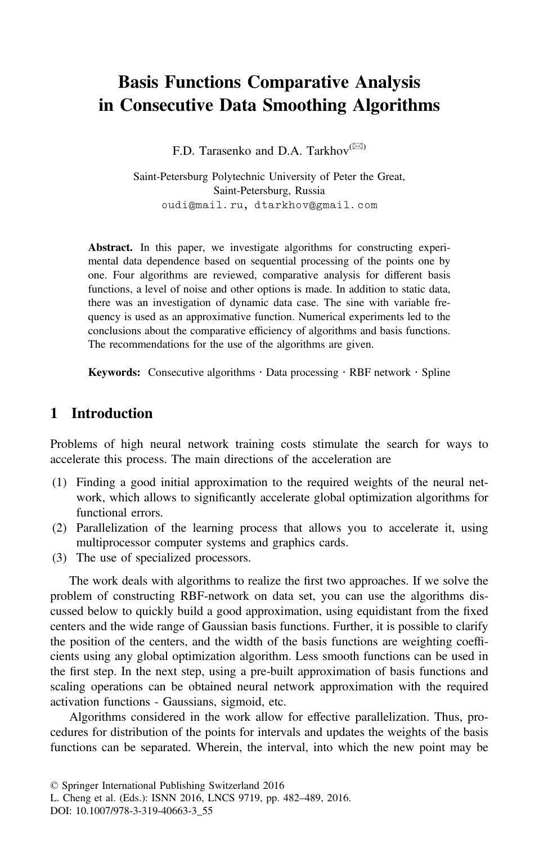# Basis Functions Comparative Analysis in Consecutive Data Smoothing Algorithms

F.D. Tarasenko and D.A. Tarkhov $(\boxtimes)$ 

Saint-Petersburg Polytechnic University of Peter the Great, Saint-Petersburg, Russia oudi@mail.ru, dtarkhov@gmail.com

Abstract. In this paper, we investigate algorithms for constructing experimental data dependence based on sequential processing of the points one by one. Four algorithms are reviewed, comparative analysis for different basis functions, a level of noise and other options is made. In addition to static data, there was an investigation of dynamic data case. The sine with variable frequency is used as an approximative function. Numerical experiments led to the conclusions about the comparative efficiency of algorithms and basis functions. The recommendations for the use of the algorithms are given.

**Keywords:** Consecutive algorithms  $\cdot$  Data processing  $\cdot$  RBF network  $\cdot$  Spline

## 1 Introduction

Problems of high neural network training costs stimulate the search for ways to accelerate this process. The main directions of the acceleration are

- (1) Finding a good initial approximation to the required weights of the neural network, which allows to significantly accelerate global optimization algorithms for functional errors.
- (2) Parallelization of the learning process that allows you to accelerate it, using multiprocessor computer systems and graphics cards.
- (3) The use of specialized processors.

The work deals with algorithms to realize the first two approaches. If we solve the problem of constructing RBF-network on data set, you can use the algorithms discussed below to quickly build a good approximation, using equidistant from the fixed centers and the wide range of Gaussian basis functions. Further, it is possible to clarify the position of the centers, and the width of the basis functions are weighting coefficients using any global optimization algorithm. Less smooth functions can be used in the first step. In the next step, using a pre-built approximation of basis functions and scaling operations can be obtained neural network approximation with the required activation functions - Gaussians, sigmoid, etc.

Algorithms considered in the work allow for effective parallelization. Thus, procedures for distribution of the points for intervals and updates the weights of the basis functions can be separated. Wherein, the interval, into which the new point may be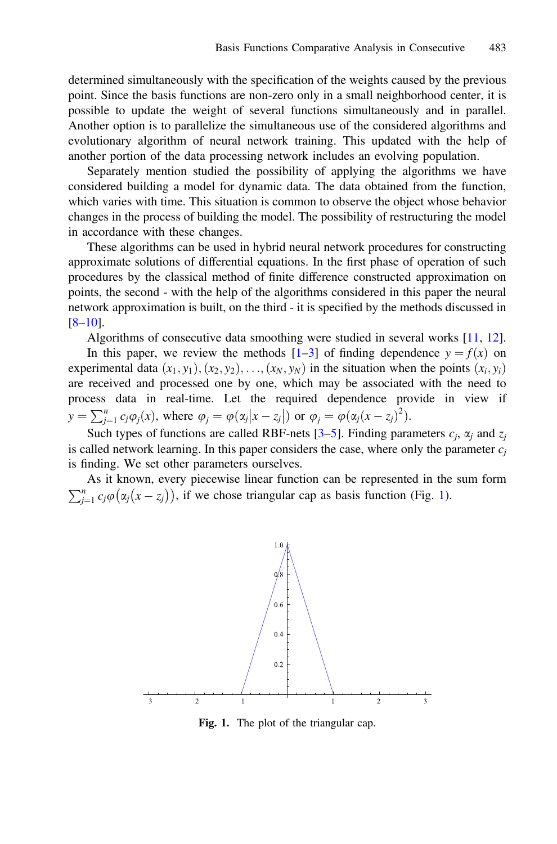determined simultaneously with the specification of the weights caused by the previous point. Since the basis functions are non-zero only in a small neighborhood center, it is possible to update the weight of several functions simultaneously and in parallel. Another option is to parallelize the simultaneous use of the considered algorithms and evolutionary algorithm of neural network training. This updated with the help of another portion of the data processing network includes an evolving population.

Separately mention studied the possibility of applying the algorithms we have considered building a model for dynamic data. The data obtained from the function, which varies with time. This situation is common to observe the object whose behavior changes in the process of building the model. The possibility of restructuring the model in accordance with these changes.

These algorithms can be used in hybrid neural network procedures for constructing approximate solutions of differential equations. In the first phase of operation of such procedures by the classical method of finite difference constructed approximation on points, the second - with the help of the algorithms considered in this paper the neural network approximation is built, on the third - it is specified by the methods discussed in [\[8](#page-6-0)–[10](#page-7-0)].

Algorithms of consecutive data smoothing were studied in several works [\[11](#page-7-0), [12\]](#page-7-0).

In this paper, we review the methods  $[1-3]$  $[1-3]$  $[1-3]$  $[1-3]$  of finding dependence  $y = f(x)$  on experimental data  $(x_1, y_1), (x_2, y_2), \ldots, (x_N, y_N)$  in the situation when the points  $(x_i, y_i)$ are received and processed one by one, which may be associated with the need to process data in real-time. Let the required dependence provide in view if  $y = \sum_{j=1}^n c_j \varphi_j(x)$ , where  $\varphi_j = \varphi(\alpha_j | x - z_j|)$  or  $\varphi_j = \varphi(\alpha_j (x - z_j)^2)$ .

Such types of functions are called RBF-nets  $[3-5]$  $[3-5]$  $[3-5]$  $[3-5]$ . Finding parameters  $c_i$ ,  $\alpha_i$  and  $z_i$ is called network learning. In this paper considers the case, where only the parameter  $c_i$ is finding. We set other parameters ourselves.

As it known, every piecewise linear function can be represented in the sum form  $\sum_{j=1}^{n} c_j \varphi(\alpha_j(x - z_j))$ , if we chose triangular cap as basis function (Fig. 1).



Fig. 1. The plot of the triangular cap.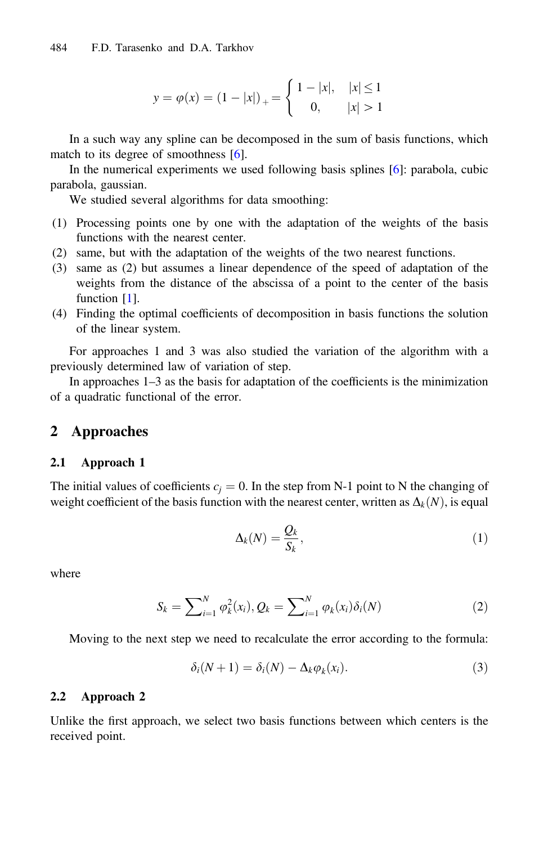$$
y = \varphi(x) = (1 - |x|)_{+} = \begin{cases} 1 - |x|, & |x| \le 1 \\ 0, & |x| > 1 \end{cases}
$$

<span id="page-2-0"></span>In a such way any spline can be decomposed in the sum of basis functions, which match to its degree of smoothness [[6\]](#page-6-0).

In the numerical experiments we used following basis splines [\[6](#page-6-0)]: parabola, cubic parabola, gaussian.

We studied several algorithms for data smoothing:

- (1) Processing points one by one with the adaptation of the weights of the basis functions with the nearest center.
- (2) same, but with the adaptation of the weights of the two nearest functions.
- (3) same as (2) but assumes a linear dependence of the speed of adaptation of the weights from the distance of the abscissa of a point to the center of the basis function [[1\]](#page-6-0).
- (4) Finding the optimal coefficients of decomposition in basis functions the solution of the linear system.

For approaches 1 and 3 was also studied the variation of the algorithm with a previously determined law of variation of step.

In approaches 1–3 as the basis for adaptation of the coefficients is the minimization of a quadratic functional of the error.

#### 2 Approaches

#### 2.1 Approach 1

The initial values of coefficients  $c_i = 0$ . In the step from N-1 point to N the changing of weight coefficient of the basis function with the nearest center, written as  $\Delta_k(N)$ , is equal

$$
\Delta_k(N) = \frac{Q_k}{S_k},\tag{1}
$$

where

$$
S_k = \sum_{i=1}^{N} \varphi_k^2(x_i), Q_k = \sum_{i=1}^{N} \varphi_k(x_i) \delta_i(N)
$$
 (2)

Moving to the next step we need to recalculate the error according to the formula:

$$
\delta_i(N+1) = \delta_i(N) - \Delta_k \varphi_k(x_i). \tag{3}
$$

#### 2.2 Approach 2

Unlike the first approach, we select two basis functions between which centers is the received point.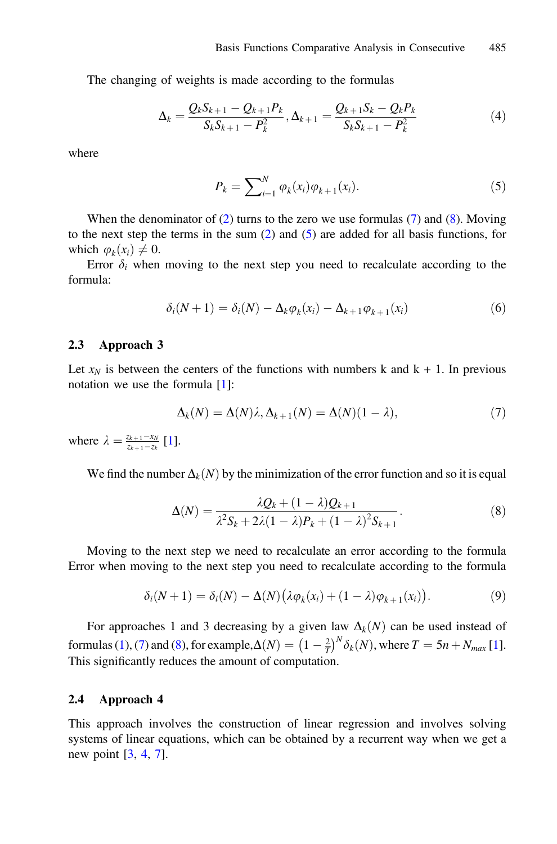The changing of weights is made according to the formulas

$$
\Delta_k = \frac{Q_k S_{k+1} - Q_{k+1} P_k}{S_k S_{k+1} - P_k^2}, \Delta_{k+1} = \frac{Q_{k+1} S_k - Q_k P_k}{S_k S_{k+1} - P_k^2}
$$
(4)

where

$$
P_k = \sum_{i=1}^{N} \varphi_k(x_i) \varphi_{k+1}(x_i).
$$
 (5)

When the denominator of  $(2)$  $(2)$  turns to the zero we use formulas  $(7)$  and  $(8)$ . Moving to the next step the terms in the sum  $(2)$  $(2)$  and  $(5)$  are added for all basis functions, for which  $\varphi_k(x_i) \neq 0$ .

Error  $\delta_i$  when moving to the next step you need to recalculate according to the formula:

$$
\delta_i(N+1) = \delta_i(N) - \Delta_k \varphi_k(x_i) - \Delta_{k+1} \varphi_{k+1}(x_i)
$$
\n<sup>(6)</sup>

#### 2.3 Approach 3

Let  $x_N$  is between the centers of the functions with numbers k and  $k + 1$ . In previous notation we use the formula [\[1](#page-6-0)]:

$$
\Delta_k(N) = \Delta(N)\lambda, \Delta_{k+1}(N) = \Delta(N)(1-\lambda),\tag{7}
$$

where  $\lambda = \frac{z_{k+1} - x_N}{z_{k+1} - z_k}$  [\[1](#page-6-0)].

We find the number  $\Delta_k(N)$  by the minimization of the error function and so it is equal

$$
\Delta(N) = \frac{\lambda Q_k + (1 - \lambda)Q_{k+1}}{\lambda^2 S_k + 2\lambda (1 - \lambda)P_k + (1 - \lambda)^2 S_{k+1}}.
$$
\n(8)

Moving to the next step we need to recalculate an error according to the formula Error when moving to the next step you need to recalculate according to the formula

$$
\delta_i(N+1) = \delta_i(N) - \Delta(N) \left( \lambda \varphi_k(x_i) + (1-\lambda) \varphi_{k+1}(x_i) \right). \tag{9}
$$

For approaches 1 and 3 decreasing by a given law  $\Delta_k(N)$  can be used instead of formulas ([1\)](#page-2-0), (7) and (8), for example,  $\Delta(N) = \left(1 - \frac{2}{T}\right)^N \delta_k(N)$ , where  $T = 5n + N_{max} [1]$  $T = 5n + N_{max} [1]$ . This significantly reduces the amount of computation.

#### 2.4 Approach 4

This approach involves the construction of linear regression and involves solving systems of linear equations, which can be obtained by a recurrent way when we get a new point  $[3, 4, 7]$  $[3, 4, 7]$  $[3, 4, 7]$  $[3, 4, 7]$  $[3, 4, 7]$  $[3, 4, 7]$  $[3, 4, 7]$ .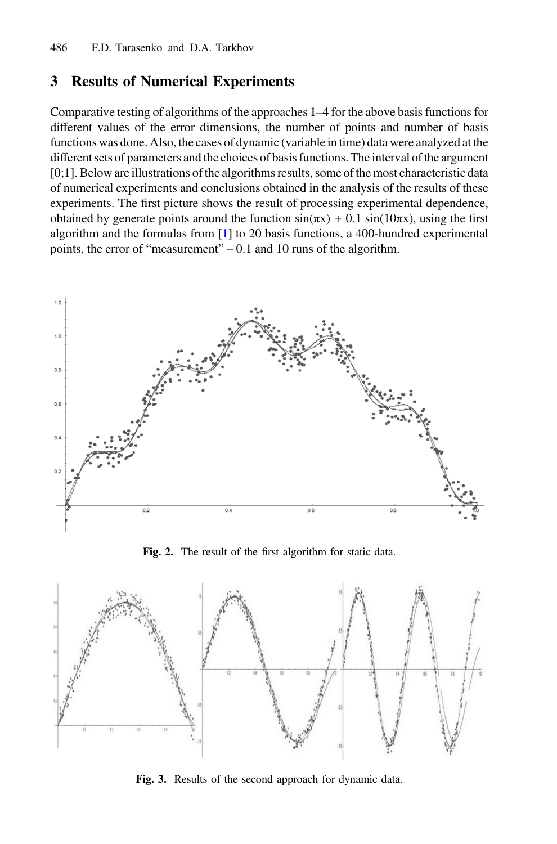### <span id="page-4-0"></span>3 Results of Numerical Experiments

Comparative testing of algorithms of the approaches 1–4 for the above basis functions for different values of the error dimensions, the number of points and number of basis functions was done. Also, the cases of dynamic (variable in time) data were analyzed at the different sets of parameters and the choices of basis functions. The interval of the argument [0;1]. Below are illustrations of the algorithms results, some of the most characteristic data of numerical experiments and conclusions obtained in the analysis of the results of these experiments. The first picture shows the result of processing experimental dependence, obtained by generate points around the function  $sin(\pi x) + 0.1 sin(10\pi x)$ , using the first algorithm and the formulas from [\[1](#page-6-0)] to 20 basis functions, a 400-hundred experimental points, the error of "measurement" – 0.1 and 10 runs of the algorithm.



Fig. 2. The result of the first algorithm for static data.



Fig. 3. Results of the second approach for dynamic data.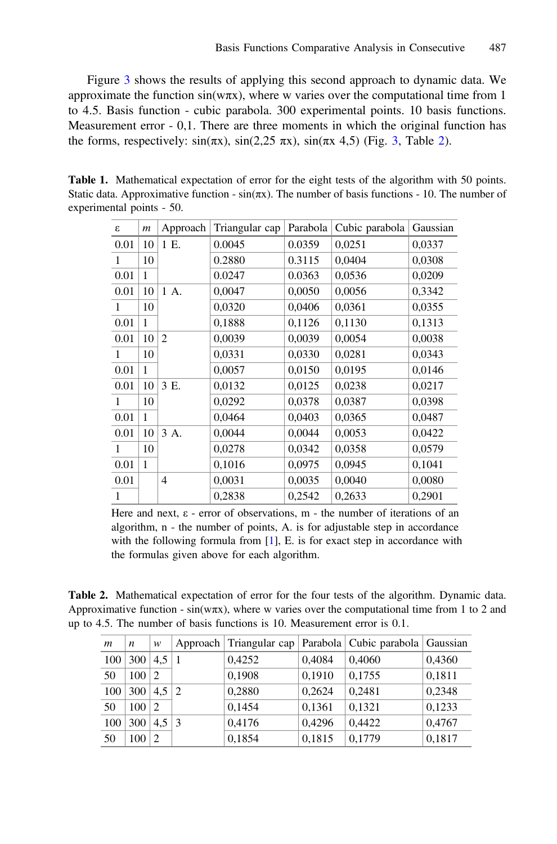Figure [3](#page-4-0) shows the results of applying this second approach to dynamic data. We approximate the function  $sin(w\pi x)$ , where w varies over the computational time from 1 to 4.5. Basis function - cubic parabola. 300 experimental points. 10 basis functions. Measurement error - 0,1. There are three moments in which the original function has the forms, respectively:  $sin(\pi x)$ ,  $sin(2,25 \pi x)$ ,  $sin(\pi x 4.5)$  (Fig. [3](#page-4-0), Table 2).

| 3    | $\boldsymbol{m}$ | Approach       | Triangular cap | Parabola | Cubic parabola | Gaussian |
|------|------------------|----------------|----------------|----------|----------------|----------|
| 0.01 | 10               | 1 E.           | 0.0045         | 0.0359   | 0,0251         | 0,0337   |
| 1    | 10               |                | 0.2880         | 0.3115   | 0,0404         | 0,0308   |
| 0.01 | 1                |                | 0.0247         | 0.0363   | 0,0536         | 0,0209   |
| 0.01 | 10               | 1 A.           | 0,0047         | 0,0050   | 0,0056         | 0,3342   |
| 1    | 10               |                | 0,0320         | 0,0406   | 0,0361         | 0,0355   |
| 0.01 | 1                |                | 0,1888         | 0,1126   | 0,1130         | 0,1313   |
| 0.01 | 10               | $\overline{2}$ | 0,0039         | 0,0039   | 0,0054         | 0,0038   |
| 1    | 10               |                | 0,0331         | 0,0330   | 0,0281         | 0,0343   |
| 0.01 | 1                |                | 0,0057         | 0,0150   | 0,0195         | 0,0146   |
| 0.01 | 10               | 3 E.           | 0,0132         | 0,0125   | 0,0238         | 0,0217   |
| 1    | 10               |                | 0,0292         | 0,0378   | 0,0387         | 0,0398   |
| 0.01 | 1                |                | 0,0464         | 0,0403   | 0,0365         | 0,0487   |
| 0.01 | 10               | 3 A.           | 0,0044         | 0,0044   | 0,0053         | 0,0422   |
| 1    | 10               |                | 0,0278         | 0,0342   | 0,0358         | 0,0579   |
| 0.01 | 1                |                | 0,1016         | 0,0975   | 0,0945         | 0,1041   |
| 0.01 |                  | $\overline{4}$ | 0,0031         | 0,0035   | 0,0040         | 0,0080   |
| 1    |                  |                | 0,2838         | 0,2542   | 0,2633         | 0,2901   |

Table 1. Mathematical expectation of error for the eight tests of the algorithm with 50 points. Static data. Approximative function -  $sin(\pi x)$ . The number of basis functions - 10. The number of experimental points - 50.

Here and next,  $\varepsilon$  - error of observations, m - the number of iterations of an algorithm, n - the number of points, A. is for adjustable step in accordance with the following formula from [\[1\]](#page-6-0), E. is for exact step in accordance with the formulas given above for each algorithm.

Table 2. Mathematical expectation of error for the four tests of the algorithm. Dynamic data. Approximative function -  $sin(w\pi x)$ , where w varies over the computational time from 1 to 2 and up to 4.5. The number of basis functions is 10. Measurement error is 0.1.

| m   | $\boldsymbol{n}$ | w             |               | Approach   Triangular cap |        | Parabola   Cubic parabola   Gaussian |        |
|-----|------------------|---------------|---------------|---------------------------|--------|--------------------------------------|--------|
| 100 | 300              | 4.5           |               | 0,4252                    | 0,4084 | 0,4060                               | 0,4360 |
| 50  | 100 <sub>1</sub> | 2             |               | 0,1908                    | 0,1910 | 0,1755                               | 0,1811 |
| 100 | 300              | 4.5           | 2             | 0,2880                    | 0,2624 | 0.2481                               | 0,2348 |
| 50  | 100 <sub>1</sub> | 2             |               | 0,1454                    | 0,1361 | 0,1321                               | 0,1233 |
| 100 | 300 <sup>1</sup> | 4.5           | $\mathcal{R}$ | 0,4176                    | 0,4296 | 0,4422                               | 0,4767 |
| 50  | 100              | $\mathcal{D}$ |               | 0,1854                    | 0,1815 | 0,1779                               | 0,1817 |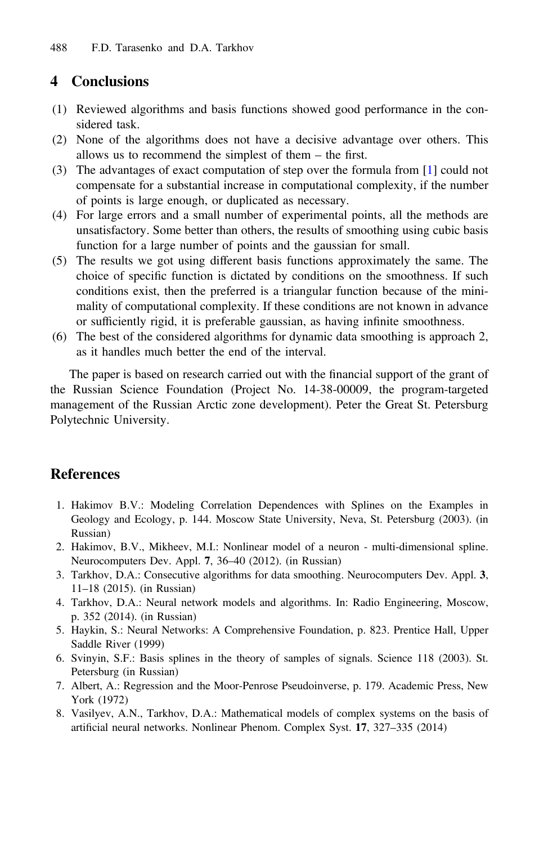# <span id="page-6-0"></span>4 Conclusions

- (1) Reviewed algorithms and basis functions showed good performance in the considered task.
- (2) None of the algorithms does not have a decisive advantage over others. This allows us to recommend the simplest of them – the first.
- (3) The advantages of exact computation of step over the formula from [1] could not compensate for a substantial increase in computational complexity, if the number of points is large enough, or duplicated as necessary.
- (4) For large errors and a small number of experimental points, all the methods are unsatisfactory. Some better than others, the results of smoothing using cubic basis function for a large number of points and the gaussian for small.
- (5) The results we got using different basis functions approximately the same. The choice of specific function is dictated by conditions on the smoothness. If such conditions exist, then the preferred is a triangular function because of the minimality of computational complexity. If these conditions are not known in advance or sufficiently rigid, it is preferable gaussian, as having infinite smoothness.
- (6) The best of the considered algorithms for dynamic data smoothing is approach 2, as it handles much better the end of the interval.

The paper is based on research carried out with the financial support of the grant of the Russian Science Foundation (Project No. 14-38-00009, the program-targeted management of the Russian Arctic zone development). Peter the Great St. Petersburg Polytechnic University.

## **References**

- 1. Hakimov B.V.: Modeling Correlation Dependences with Splines on the Examples in Geology and Ecology, p. 144. Moscow State University, Neva, St. Petersburg (2003). (in Russian)
- 2. Hakimov, B.V., Mikheev, M.I.: Nonlinear model of a neuron multi-dimensional spline. Neurocomputers Dev. Appl. 7, 36–40 (2012). (in Russian)
- 3. Tarkhov, D.A.: Consecutive algorithms for data smoothing. Neurocomputers Dev. Appl. 3, 11–18 (2015). (in Russian)
- 4. Tarkhov, D.A.: Neural network models and algorithms. In: Radio Engineering, Moscow, p. 352 (2014). (in Russian)
- 5. Haykin, S.: Neural Networks: A Comprehensive Foundation, p. 823. Prentice Hall, Upper Saddle River (1999)
- 6. Svinyin, S.F.: Basis splines in the theory of samples of signals. Science 118 (2003). St. Petersburg (in Russian)
- 7. Albert, A.: Regression and the Moor-Penrose Pseudoinverse, p. 179. Academic Press, New York (1972)
- 8. Vasilyev, A.N., Tarkhov, D.A.: Mathematical models of complex systems on the basis of artificial neural networks. Nonlinear Phenom. Complex Syst. 17, 327–335 (2014)